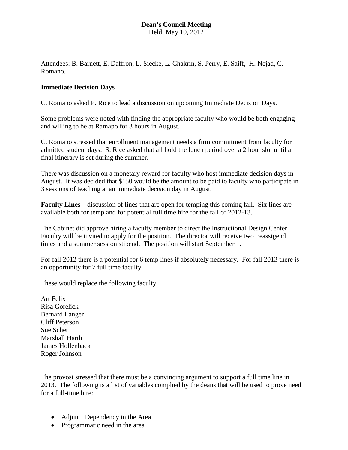## **Dean's Council Meeting** Held: May 10, 2012

Attendees: B. Barnett, E. Daffron, L. Siecke, L. Chakrin, S. Perry, E. Saiff, H. Nejad, C. Romano.

## **Immediate Decision Days**

C. Romano asked P. Rice to lead a discussion on upcoming Immediate Decision Days.

Some problems were noted with finding the appropriate faculty who would be both engaging and willing to be at Ramapo for 3 hours in August.

C. Romano stressed that enrollment management needs a firm commitment from faculty for admitted student days. S. Rice asked that all hold the lunch period over a 2 hour slot until a final itinerary is set during the summer.

There was discussion on a monetary reward for faculty who host immediate decision days in August. It was decided that \$150 would be the amount to be paid to faculty who participate in 3 sessions of teaching at an immediate decision day in August.

**Faculty Lines** – discussion of lines that are open for temping this coming fall. Six lines are available both for temp and for potential full time hire for the fall of 2012-13.

The Cabinet did approve hiring a faculty member to direct the Instructional Design Center. Faculty will be invited to apply for the position. The director will receive two reassigend times and a summer session stipend. The position will start September 1.

For fall 2012 there is a potential for 6 temp lines if absolutely necessary. For fall 2013 there is an opportunity for 7 full time faculty.

These would replace the following faculty:

Art Felix Risa Gorelick Bernard Langer Cliff Peterson Sue Scher Marshall Harth James Hollenback Roger Johnson

The provost stressed that there must be a convincing argument to support a full time line in 2013. The following is a list of variables complied by the deans that will be used to prove need for a full-time hire:

- Adjunct Dependency in the Area
- Programmatic need in the area